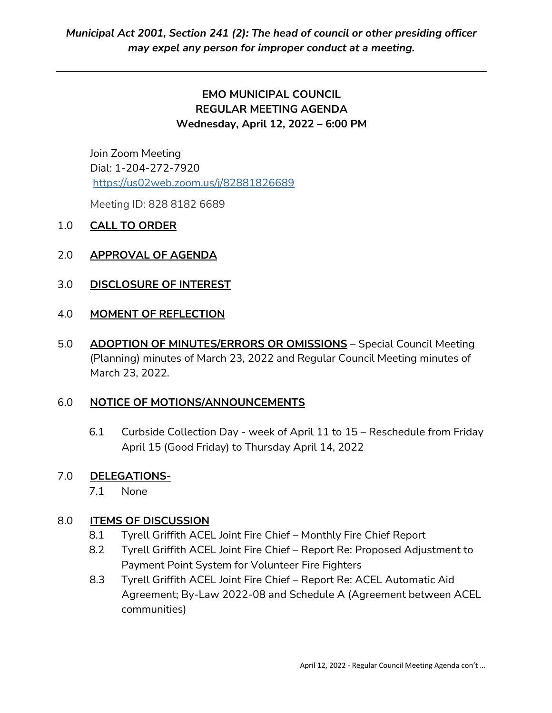# **EMO MUNICIPAL COUNCIL REGULAR MEETING AGENDA Wednesday, April 12, 2022 – 6:00 PM**

Join Zoom Meeting Dial: 1-204-272-7920 <https://us02web.zoom.us/j/82881826689>

Meeting ID: 828 8182 6689

### 1.0 **CALL TO ORDER**

### 2.0 **APPROVAL OF AGENDA**

### 3.0 **DISCLOSURE OF INTEREST**

#### 4.0 **MOMENT OF REFLECTION**

5.0 **ADOPTION OF MINUTES/ERRORS OR OMISSIONS** – Special Council Meeting (Planning) minutes of March 23, 2022 and Regular Council Meeting minutes of March 23, 2022.

#### 6.0 **NOTICE OF MOTIONS/ANNOUNCEMENTS**

6.1 Curbside Collection Day - week of April 11 to 15 – Reschedule from Friday April 15 (Good Friday) to Thursday April 14, 2022

#### 7.0 **DELEGATIONS-**

7.1 None

#### 8.0 **ITEMS OF DISCUSSION**

- 8.1 Tyrell Griffith ACEL Joint Fire Chief Monthly Fire Chief Report
- 8.2 Tyrell Griffith ACEL Joint Fire Chief Report Re: Proposed Adjustment to Payment Point System for Volunteer Fire Fighters
- 8.3 Tyrell Griffith ACEL Joint Fire Chief Report Re: ACEL Automatic Aid Agreement; By-Law 2022-08 and Schedule A (Agreement between ACEL communities)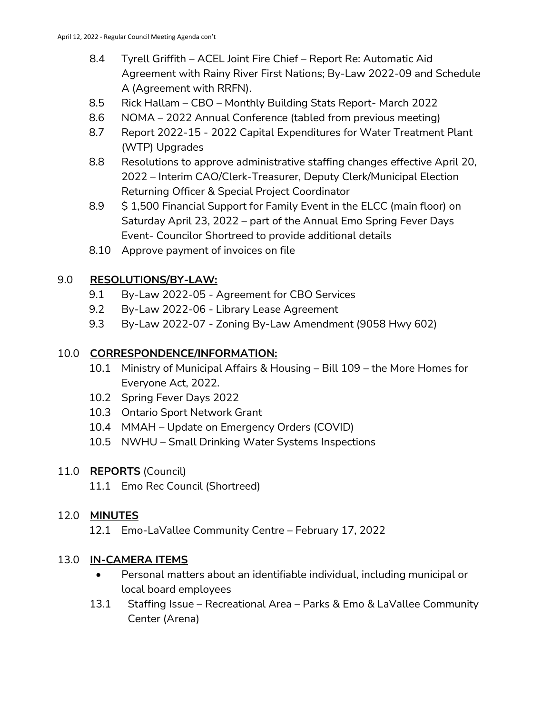- 8.4 Tyrell Griffith ACEL Joint Fire Chief Report Re: Automatic Aid Agreement with Rainy River First Nations; By-Law 2022-09 and Schedule A (Agreement with RRFN).
- 8.5 Rick Hallam CBO Monthly Building Stats Report- March 2022
- 8.6 NOMA 2022 Annual Conference (tabled from previous meeting)
- 8.7 Report 2022-15 2022 Capital Expenditures for Water Treatment Plant (WTP) Upgrades
- 8.8 Resolutions to approve administrative staffing changes effective April 20, 2022 – Interim CAO/Clerk-Treasurer, Deputy Clerk/Municipal Election Returning Officer & Special Project Coordinator
- 8.9 \$ 1,500 Financial Support for Family Event in the ELCC (main floor) on Saturday April 23, 2022 – part of the Annual Emo Spring Fever Days Event- Councilor Shortreed to provide additional details
- 8.10 Approve payment of invoices on file

## 9.0 **RESOLUTIONS/BY-LAW:**

- 9.1 By-Law 2022-05 Agreement for CBO Services
- 9.2 By-Law 2022-06 Library Lease Agreement
- 9.3 By-Law 2022-07 Zoning By-Law Amendment (9058 Hwy 602)

### 10.0 **CORRESPONDENCE/INFORMATION:**

- 10.1 Ministry of Municipal Affairs & Housing Bill 109 the More Homes for Everyone Act, 2022.
- 10.2 Spring Fever Days 2022
- 10.3 Ontario Sport Network Grant
- 10.4 MMAH Update on Emergency Orders (COVID)
- 10.5 NWHU Small Drinking Water Systems Inspections

## 11.0 **REPORTS** (Council)

11.1 Emo Rec Council (Shortreed)

## 12.0 **MINUTES**

12.1 Emo-LaVallee Community Centre – February 17, 2022

## 13.0 **IN-CAMERA ITEMS**

- Personal matters about an identifiable individual, including municipal or local board employees
- 13.1 Staffing Issue Recreational Area Parks & Emo & LaVallee Community Center (Arena)